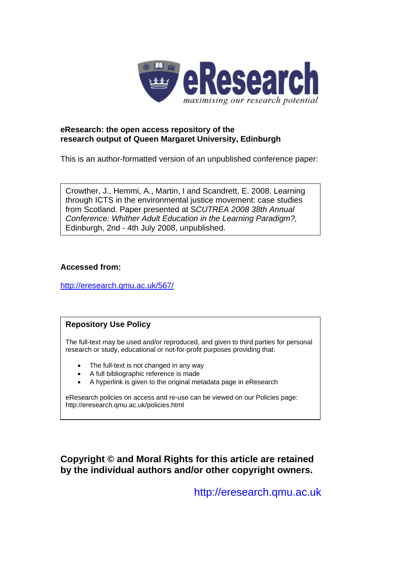

## **eResearch: the open access repository of the research output of Queen Margaret University, Edinburgh**

This is an author-formatted version of an unpublished conference paper:

Crowther, J., Hemmi, A., Martin, I and Scandrett, E. 2008. Learning through ICTS in the environmental justice movement: case studies from Scotland. Paper presented at S*CUTREA 2008 38th Annual Conference: Whither Adult Education in the Learning Paradigm?,* Edinburgh, 2nd - 4th July 2008, unpublished.

## **Accessed from:**

<http://eresearch.qmu.ac.uk/567/>

# **Repository Use Policy**

The full-text may be used and/or reproduced, and given to third parties for personal research or study, educational or not-for-profit purposes providing that:

- The full-text is not changed in any way
- A full bibliographic reference is made
- A hyperlink is given to the original metadata page in eResearch

eResearch policies on access and re-use can be viewed on our Policies page: <http://eresearch.qmu.ac.uk/policies.html>

**Copyright © and Moral Rights for this article are retained by the individual authors and/or other copyright owners.** 

[http://eresearch.qmu.ac.uk](http://eresearch.qmu.ac.uk/)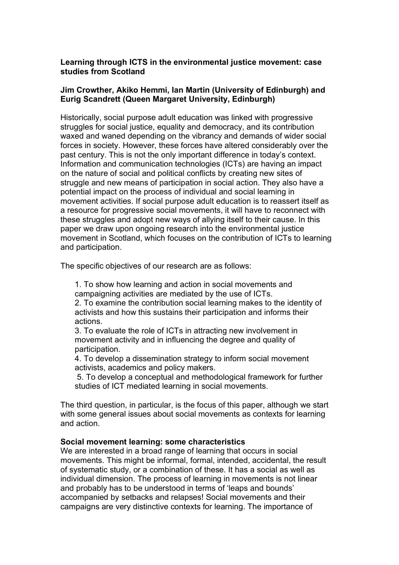## **Learning through ICTS in the environmental justice movement: case studies from Scotland**

## **Jim Crowther, Akiko Hemmi, Ian Martin (University of Edinburgh) and Eurig Scandrett (Queen Margaret University, Edinburgh)**

Historically, social purpose adult education was linked with progressive struggles for social justice, equality and democracy, and its contribution waxed and waned depending on the vibrancy and demands of wider social forces in society. However, these forces have altered considerably over the past century. This is not the only important difference in today's context. Information and communication technologies (ICTs) are having an impact on the nature of social and political conflicts by creating new sites of struggle and new means of participation in social action. They also have a potential impact on the process of individual and social learning in movement activities. If social purpose adult education is to reassert itself as a resource for progressive social movements, it will have to reconnect with these struggles and adopt new ways of allying itself to their cause. In this paper we draw upon ongoing research into the environmental justice movement in Scotland, which focuses on the contribution of ICTs to learning and participation.

The specific objectives of our research are as follows:

1. To show how learning and action in social movements and campaigning activities are mediated by the use of ICTs.

2. To examine the contribution social learning makes to the identity of activists and how this sustains their participation and informs their actions.

3. To evaluate the role of ICTs in attracting new involvement in movement activity and in influencing the degree and quality of participation.

4. To develop a dissemination strategy to inform social movement activists, academics and policy makers.

5. To develop a conceptual and methodological framework for further studies of ICT mediated learning in social movements.

The third question, in particular, is the focus of this paper, although we start with some general issues about social movements as contexts for learning and action.

## **Social movement learning: some characteristics**

We are interested in a broad range of learning that occurs in social movements. This might be informal, formal, intended, accidental, the result of systematic study, or a combination of these. It has a social as well as individual dimension. The process of learning in movements is not linear and probably has to be understood in terms of 'leaps and bounds' accompanied by setbacks and relapses! Social movements and their campaigns are very distinctive contexts for learning. The importance of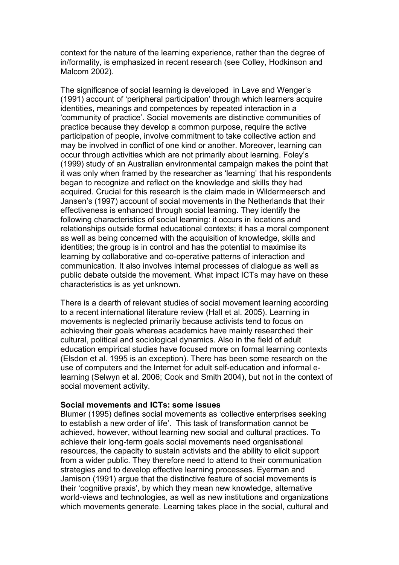context for the nature of the learning experience, rather than the degree of in/formality, is emphasized in recent research (see Colley, Hodkinson and Malcom 2002).

The significance of social learning is developed in Lave and Wenger's (1991) account of 'peripheral participation' through which learners acquire identities, meanings and competences by repeated interaction in a 'community of practice'. Social movements are distinctive communities of practice because they develop a common purpose, require the active participation of people, involve commitment to take collective action and may be involved in conflict of one kind or another. Moreover, learning can occur through activities which are not primarily about learning. Foley's (1999) study of an Australian environmental campaign makes the point that it was only when framed by the researcher as 'learning' that his respondents began to recognize and reflect on the knowledge and skills they had acquired. Crucial for this research is the claim made in Wildermeersch and Jansen's (1997) account of social movements in the Netherlands that their effectiveness is enhanced through social learning. They identify the following characteristics of social learning: it occurs in locations and relationships outside formal educational contexts; it has a moral component as well as being concerned with the acquisition of knowledge, skills and identities; the group is in control and has the potential to maximise its learning by collaborative and co-operative patterns of interaction and communication. It also involves internal processes of dialogue as well as public debate outside the movement. What impact ICTs may have on these characteristics is as yet unknown.

There is a dearth of relevant studies of social movement learning according to a recent international literature review (Hall et al. 2005). Learning in movements is neglected primarily because activists tend to focus on achieving their goals whereas academics have mainly researched their cultural, political and sociological dynamics. Also in the field of adult education empirical studies have focused more on formal learning contexts (Elsdon et al. 1995 is an exception). There has been some research on the use of computers and the Internet for adult self-education and informal elearning (Selwyn et al. 2006; Cook and Smith 2004), but not in the context of social movement activity.

#### **Social movements and ICTs: some issues**

Blumer (1995) defines social movements as 'collective enterprises seeking to establish a new order of life'. This task of transformation cannot be achieved, however, without learning new social and cultural practices. To achieve their long-term goals social movements need organisational resources, the capacity to sustain activists and the ability to elicit support from a wider public. They therefore need to attend to their communication strategies and to develop effective learning processes. Eyerman and Jamison (1991) argue that the distinctive feature of social movements is their 'cognitive praxis', by which they mean new knowledge, alternative world-views and technologies, as well as new institutions and organizations which movements generate. Learning takes place in the social, cultural and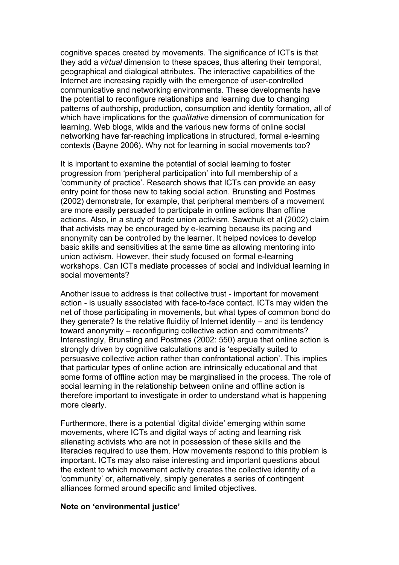cognitive spaces created by movements. The significance of ICTs is that they add a *virtual* dimension to these spaces, thus altering their temporal, geographical and dialogical attributes. The interactive capabilities of the Internet are increasing rapidly with the emergence of user-controlled communicative and networking environments. These developments have the potential to reconfigure relationships and learning due to changing patterns of authorship, production, consumption and identity formation, all of which have implications for the *qualitative* dimension of communication for learning. Web blogs, wikis and the various new forms of online social networking have far-reaching implications in structured, formal e-learning contexts (Bayne 2006). Why not for learning in social movements too?

It is important to examine the potential of social learning to foster progression from 'peripheral participation' into full membership of a 'community of practice'. Research shows that ICTs can provide an easy entry point for those new to taking social action. Brunsting and Postmes (2002) demonstrate, for example, that peripheral members of a movement are more easily persuaded to participate in online actions than offline actions. Also, in a study of trade union activism, Sawchuk et al (2002) claim that activists may be encouraged by e-learning because its pacing and anonymity can be controlled by the learner. It helped novices to develop basic skills and sensitivities at the same time as allowing mentoring into union activism. However, their study focused on formal e-learning workshops. Can ICTs mediate processes of social and individual learning in social movements?

Another issue to address is that collective trust - important for movement action - is usually associated with face-to-face contact. ICTs may widen the net of those participating in movements, but what types of common bond do they generate? Is the relative fluidity of Internet identity – and its tendency toward anonymity – reconfiguring collective action and commitments? Interestingly, Brunsting and Postmes (2002: 550) argue that online action is strongly driven by cognitive calculations and is 'especially suited to persuasive collective action rather than confrontational action'. This implies that particular types of online action are intrinsically educational and that some forms of offline action may be marginalised in the process. The role of social learning in the relationship between online and offline action is therefore important to investigate in order to understand what is happening more clearly.

Furthermore, there is a potential 'digital divide' emerging within some movements, where ICTs and digital ways of acting and learning risk alienating activists who are not in possession of these skills and the literacies required to use them. How movements respond to this problem is important. ICTs may also raise interesting and important questions about the extent to which movement activity creates the collective identity of a 'community' or, alternatively, simply generates a series of contingent alliances formed around specific and limited objectives.

#### **Note on 'environmental justice'**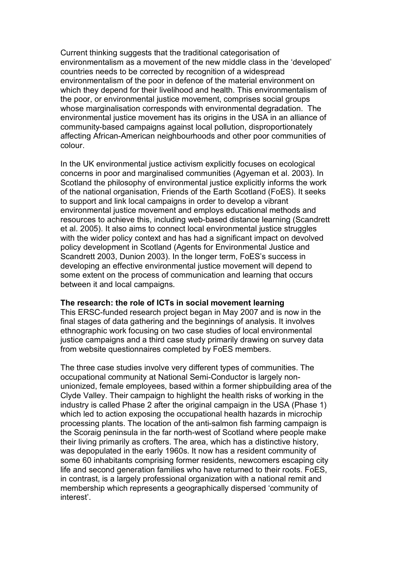Current thinking suggests that the traditional categorisation of environmentalism as a movement of the new middle class in the 'developed' countries needs to be corrected by recognition of a widespread environmentalism of the poor in defence of the material environment on which they depend for their livelihood and health. This environmentalism of the poor, or environmental justice movement, comprises social groups whose marginalisation corresponds with environmental degradation. The environmental justice movement has its origins in the USA in an alliance of community-based campaigns against local pollution, disproportionately affecting African-American neighbourhoods and other poor communities of colour.

In the UK environmental justice activism explicitly focuses on ecological concerns in poor and marginalised communities (Agyeman et al. 2003). In Scotland the philosophy of environmental justice explicitly informs the work of the national organisation, Friends of the Earth Scotland (FoES). It seeks to support and link local campaigns in order to develop a vibrant environmental justice movement and employs educational methods and resources to achieve this, including web-based distance learning (Scandrett et al. 2005). It also aims to connect local environmental justice struggles with the wider policy context and has had a significant impact on devolved policy development in Scotland (Agents for Environmental Justice and Scandrett 2003, Dunion 2003). In the longer term, FoES's success in developing an effective environmental justice movement will depend to some extent on the process of communication and learning that occurs between it and local campaigns.

## **The research: the role of ICTs in social movement learning**

This ERSC-funded research project began in May 2007 and is now in the final stages of data gathering and the beginnings of analysis. It involves ethnographic work focusing on two case studies of local environmental justice campaigns and a third case study primarily drawing on survey data from website questionnaires completed by FoES members.

The three case studies involve very different types of communities. The occupational community at National Semi-Conductor is largely nonunionized, female employees, based within a former shipbuilding area of the Clyde Valley. Their campaign to highlight the health risks of working in the industry is called Phase 2 after the original campaign in the USA (Phase 1) which led to action exposing the occupational health hazards in microchip processing plants. The location of the anti-salmon fish farming campaign is the Scoraig peninsula in the far north-west of Scotland where people make their living primarily as crofters. The area, which has a distinctive history, was depopulated in the early 1960s. It now has a resident community of some 60 inhabitants comprising former residents, newcomers escaping city life and second generation families who have returned to their roots. FoES, in contrast, is a largely professional organization with a national remit and membership which represents a geographically dispersed 'community of interest'.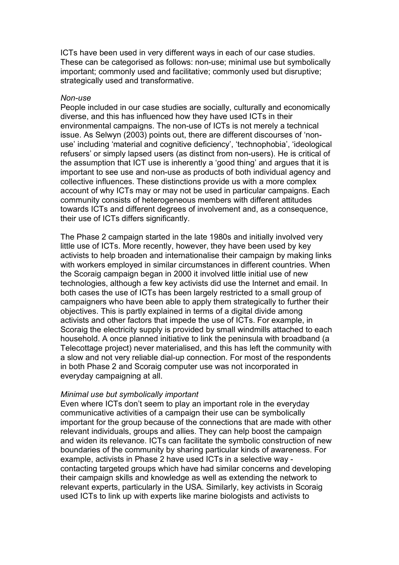ICTs have been used in very different ways in each of our case studies. These can be categorised as follows: non-use; minimal use but symbolically important; commonly used and facilitative; commonly used but disruptive; strategically used and transformative.

#### *Non-use*

People included in our case studies are socially, culturally and economically diverse, and this has influenced how they have used ICTs in their environmental campaigns. The non-use of ICTs is not merely a technical issue. As Selwyn (2003) points out, there are different discourses of 'nonuse' including 'material and cognitive deficiency', 'technophobia', 'ideological refusers' or simply lapsed users (as distinct from non-users). He is critical of the assumption that ICT use is inherently a 'good thing' and argues that it is important to see use and non-use as products of both individual agency and collective influences. These distinctions provide us with a more complex account of why ICTs may or may not be used in particular campaigns. Each community consists of heterogeneous members with different attitudes towards ICTs and different degrees of involvement and, as a consequence, their use of ICTs differs significantly.

The Phase 2 campaign started in the late 1980s and initially involved very little use of ICTs. More recently, however, they have been used by key activists to help broaden and internationalise their campaign by making links with workers employed in similar circumstances in different countries. When the Scoraig campaign began in 2000 it involved little initial use of new technologies, although a few key activists did use the Internet and email. In both cases the use of ICTs has been largely restricted to a small group of campaigners who have been able to apply them strategically to further their objectives. This is partly explained in terms of a digital divide among activists and other factors that impede the use of ICTs. For example, in Scoraig the electricity supply is provided by small windmills attached to each household. A once planned initiative to link the peninsula with broadband (a Telecottage project) never materialised, and this has left the community with a slow and not very reliable dial-up connection. For most of the respondents in both Phase 2 and Scoraig computer use was not incorporated in everyday campaigning at all.

## *Minimal use but symbolically important*

Even where ICTs don't seem to play an important role in the everyday communicative activities of a campaign their use can be symbolically important for the group because of the connections that are made with other relevant individuals, groups and allies. They can help boost the campaign and widen its relevance. ICTs can facilitate the symbolic construction of new boundaries of the community by sharing particular kinds of awareness. For example, activists in Phase 2 have used ICTs in a selective way contacting targeted groups which have had similar concerns and developing their campaign skills and knowledge as well as extending the network to relevant experts, particularly in the USA. Similarly, key activists in Scoraig used ICTs to link up with experts like marine biologists and activists to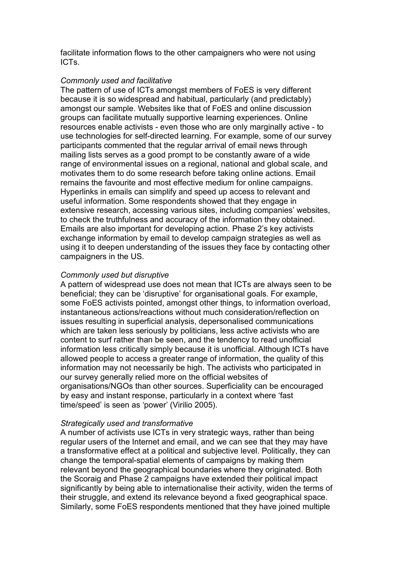facilitate information flows to the other campaigners who were not using ICTs.

## *Commonly used and facilitative*

The pattern of use of ICTs amongst members of FoES is very different because it is so widespread and habitual, particularly (and predictably) amongst our sample. Websites like that of FoES and online discussion groups can facilitate mutually supportive learning experiences. Online resources enable activists - even those who are only marginally active - to use technologies for self-directed learning. For example, some of our survey participants commented that the regular arrival of email news through mailing lists serves as a good prompt to be constantly aware of a wide range of environmental issues on a regional, national and global scale, and motivates them to do some research before taking online actions. Email remains the favourite and most effective medium for online campaigns. Hyperlinks in emails can simplify and speed up access to relevant and useful information. Some respondents showed that they engage in extensive research, accessing various sites, including companies' websites, to check the truthfulness and accuracy of the information they obtained. Emails are also important for developing action. Phase 2's key activists exchange information by email to develop campaign strategies as well as using it to deepen understanding of the issues they face by contacting other campaigners in the US.

## *Commonly used but disruptive*

A pattern of widespread use does not mean that ICTs are always seen to be beneficial; they can be 'disruptive' for organisational goals. For example, some FoES activists pointed, amongst other things, to information overload, instantaneous actions/reactions without much consideration/reflection on issues resulting in superficial analysis, depersonalised communications which are taken less seriously by politicians, less active activists who are content to surf rather than be seen, and the tendency to read unofficial information less critically simply because it is unofficial. Although ICTs have allowed people to access a greater range of information, the quality of this information may not necessarily be high. The activists who participated in our survey generally relied more on the official websites of organisations/NGOs than other sources. Superficiality can be encouraged by easy and instant response, particularly in a context where 'fast time/speed' is seen as 'power' (Virilio 2005).

## *Strategically used and transformative*

A number of activists use ICTs in very strategic ways, rather than being regular users of the Internet and email, and we can see that they may have a transformative effect at a political and subjective level. Politically, they can change the temporal-spatial elements of campaigns by making them relevant beyond the geographical boundaries where they originated. Both the Scoraig and Phase 2 campaigns have extended their political impact significantly by being able to internationalise their activity, widen the terms of their struggle, and extend its relevance beyond a fixed geographical space. Similarly, some FoES respondents mentioned that they have joined multiple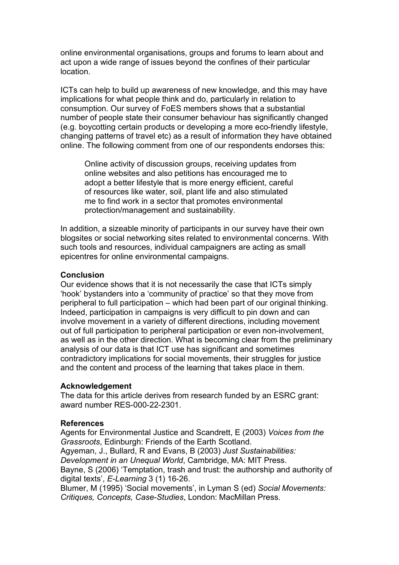online environmental organisations, groups and forums to learn about and act upon a wide range of issues beyond the confines of their particular location.

ICTs can help to build up awareness of new knowledge, and this may have implications for what people think and do, particularly in relation to consumption. Our survey of FoES members shows that a substantial number of people state their consumer behaviour has significantly changed (e.g. boycotting certain products or developing a more eco-friendly lifestyle, changing patterns of travel etc) as a result of information they have obtained online. The following comment from one of our respondents endorses this:

Online activity of discussion groups, receiving updates from online websites and also petitions has encouraged me to adopt a better lifestyle that is more energy efficient, careful of resources like water, soil, plant life and also stimulated me to find work in a sector that promotes environmental protection/management and sustainability.

In addition, a sizeable minority of participants in our survey have their own blogsites or social networking sites related to environmental concerns. With such tools and resources, individual campaigners are acting as small epicentres for online environmental campaigns.

## **Conclusion**

Our evidence shows that it is not necessarily the case that ICTs simply 'hook' bystanders into a 'community of practice' so that they move from peripheral to full participation – which had been part of our original thinking. Indeed, participation in campaigns is very difficult to pin down and can involve movement in a variety of different directions, including movement out of full participation to peripheral participation or even non-involvement, as well as in the other direction. What is becoming clear from the preliminary analysis of our data is that ICT use has significant and sometimes contradictory implications for social movements, their struggles for justice and the content and process of the learning that takes place in them.

## **Acknowledgement**

The data for this article derives from research funded by an ESRC grant: award number RES-000-22-2301.

## **References**

Agents for Environmental Justice and Scandrett, E (2003) *Voices from the Grassroots*, Edinburgh: Friends of the Earth Scotland. Agyeman, J., Bullard, R and Evans, B (2003) *Just Sustainabilities: Development in an Unequal World*, Cambridge, MA: MIT Press. Bayne, S (2006) 'Temptation, trash and trust: the authorship and authority of digital texts', *E-Learning* 3 (1) 16-26. Blumer, M (1995) 'Social movements', in Lyman S (ed) *Social Movements: Critiques, Concepts, Case-Studies*, London: MacMillan Press.